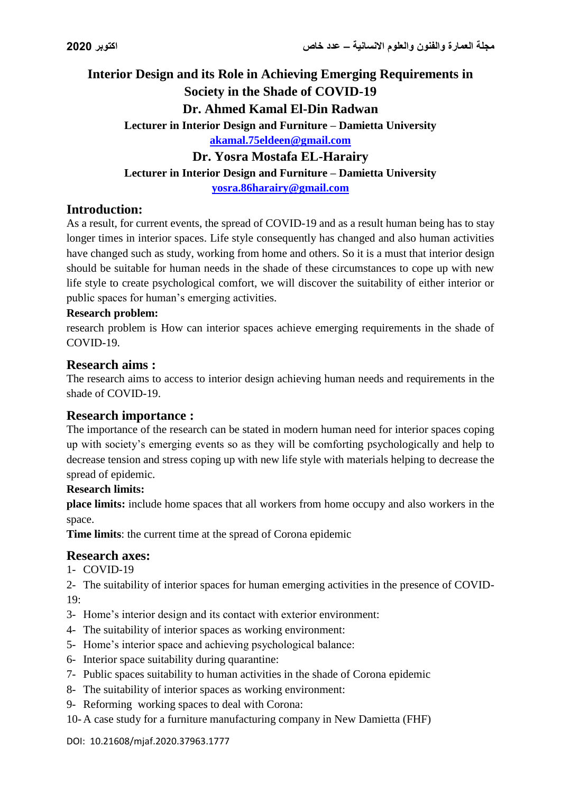# **Interior Design and its Role in Achieving Emerging Requirements in Society in the Shade of COVID-19 Dr. Ahmed Kamal El-Din Radwan Lecturer in Interior Design and Furniture – Damietta University [akamal.75eldeen@gmail.com](mailto:akamal.75eldeen@gmail.com) Dr. Yosra Mostafa EL-Harairy Lecturer in Interior Design and Furniture – Damietta University [yosra.86harairy@gmail.com](mailto:yosra.86harairy@gmail.com)**

## **Introduction:**

As a result, for current events, the spread of COVID-19 and as a result human being has to stay longer times in interior spaces. Life style consequently has changed and also human activities have changed such as study, working from home and others. So it is a must that interior design should be suitable for human needs in the shade of these circumstances to cope up with new life style to create psychological comfort, we will discover the suitability of either interior or public spaces for human's emerging activities.

### **Research problem:**

research problem is How can interior spaces achieve emerging requirements in the shade of COVID-19.

### **Research aims :**

The research aims to access to interior design achieving human needs and requirements in the shade of COVID-19.

### **Research importance :**

The importance of the research can be stated in modern human need for interior spaces coping up with society's emerging events so as they will be comforting psychologically and help to decrease tension and stress coping up with new life style with materials helping to decrease the spread of epidemic.

### **Research limits:**

**place limits:** include home spaces that all workers from home occupy and also workers in the space.

**Time limits**: the current time at the spread of Corona epidemic

## **Research axes:**

1- COVID-19

2- The suitability of interior spaces for human emerging activities in the presence of COVID-19:

- 3- Home's interior design and its contact with exterior environment:
- 4- The suitability of interior spaces as working environment:
- 5- Home's interior space and achieving psychological balance:
- 6- Interior space suitability during quarantine:
- 7- Public spaces suitability to human activities in the shade of Corona epidemic
- 8- The suitability of interior spaces as working environment:
- 9- Reforming working spaces to deal with Corona:
- 10- A case study for a furniture manufacturing company in New Damietta (FHF)

#### DOI: 10.21608/mjaf.2020.37963.1777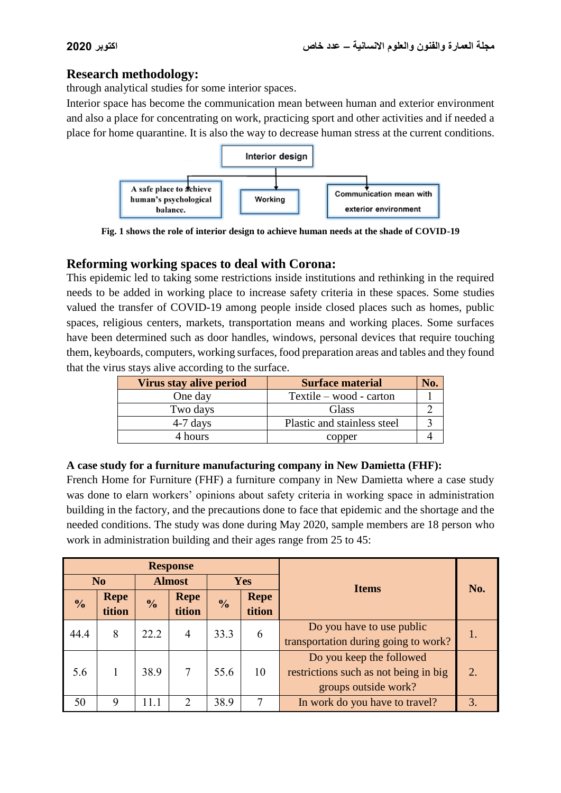## **Research methodology:**

through analytical studies for some interior spaces.

Interior space has become the communication mean between human and exterior environment and also a place for concentrating on work, practicing sport and other activities and if needed a place for home quarantine. It is also the way to decrease human stress at the current conditions.



**Fig. 1 shows the role of interior design to achieve human needs at the shade of COVID-19**

## **Reforming working spaces to deal with Corona:**

This epidemic led to taking some restrictions inside institutions and rethinking in the required needs to be added in working place to increase safety criteria in these spaces. Some studies valued the transfer of COVID-19 among people inside closed places such as homes, public spaces, religious centers, markets, transportation means and working places. Some surfaces have been determined such as door handles, windows, personal devices that require touching them, keyboards, computers, working surfaces, food preparation areas and tables and they found that the virus stays alive according to the surface.

| Virus stay alive period | <b>Surface material</b>     |  |
|-------------------------|-----------------------------|--|
| One day                 | Textile – wood - carton     |  |
| Two days                | <b>Glass</b>                |  |
| $4-7$ days              | Plastic and stainless steel |  |
| 4 hours                 | copper                      |  |

### **A case study for a furniture manufacturing company in New Damietta (FHF):**

French Home for Furniture (FHF) a furniture company in New Damietta where a case study was done to elarn workers' opinions about safety criteria in working space in administration building in the factory, and the precautions done to face that epidemic and the shortage and the needed conditions. The study was done during May 2020, sample members are 18 person who work in administration building and their ages range from 25 to 45:

| <b>Response</b>                 |             |               |                |               |             | <b>Items</b>                          | No. |  |  |  |                                      |  |
|---------------------------------|-------------|---------------|----------------|---------------|-------------|---------------------------------------|-----|--|--|--|--------------------------------------|--|
| <b>Almost</b><br>N <sub>0</sub> |             | <b>Yes</b>    |                |               |             |                                       |     |  |  |  |                                      |  |
| $\frac{0}{0}$                   | <b>Repe</b> | $\frac{0}{0}$ | <b>Repe</b>    | $\frac{0}{0}$ | <b>Repe</b> |                                       |     |  |  |  |                                      |  |
|                                 | tition      |               | tition         |               | tition      |                                       |     |  |  |  |                                      |  |
| 44.4                            | 8           | 22.2          | $\overline{4}$ | 33.3          | 6           | Do you have to use public             | 1.  |  |  |  |                                      |  |
|                                 |             |               |                |               |             |                                       |     |  |  |  | transportation during going to work? |  |
|                                 |             |               |                |               |             | Do you keep the followed              |     |  |  |  |                                      |  |
| 5.6                             |             | 38.9          | 7              | 55.6          | 10          | restrictions such as not being in big | 2.  |  |  |  |                                      |  |
|                                 |             |               |                |               |             | groups outside work?                  |     |  |  |  |                                      |  |
| 50                              | 9           | 11.1          | $\mathcal{D}$  | 38.9          | 7           | In work do you have to travel?        | 3.  |  |  |  |                                      |  |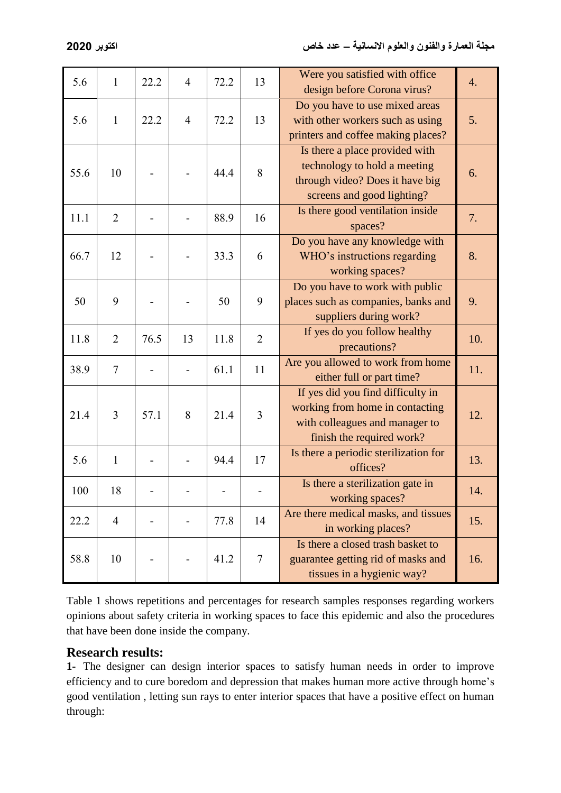| 5.6  | 1              | 22.2 | $\overline{4}$ | 72.2 | 13             | Were you satisfied with office<br>design before Corona virus?                                                                       | 4.  |
|------|----------------|------|----------------|------|----------------|-------------------------------------------------------------------------------------------------------------------------------------|-----|
| 5.6  | $\mathbf{1}$   | 22.2 | $\overline{4}$ | 72.2 | 13             | Do you have to use mixed areas<br>with other workers such as using<br>printers and coffee making places?                            | 5.  |
| 55.6 | 10             |      |                | 44.4 | 8              | Is there a place provided with<br>technology to hold a meeting<br>through video? Does it have big<br>screens and good lighting?     | 6.  |
| 11.1 | $\overline{2}$ |      |                | 88.9 | 16             | Is there good ventilation inside<br>spaces?                                                                                         | 7.  |
| 66.7 | 12             |      |                | 33.3 | 6              | Do you have any knowledge with<br>WHO's instructions regarding<br>working spaces?                                                   | 8.  |
| 50   | 9              |      |                | 50   | 9              | Do you have to work with public<br>places such as companies, banks and<br>suppliers during work?                                    | 9.  |
| 11.8 | $\overline{2}$ | 76.5 | 13             | 11.8 | $\overline{2}$ | If yes do you follow healthy<br>precautions?                                                                                        | 10. |
| 38.9 | $\overline{7}$ |      |                | 61.1 | 11             | Are you allowed to work from home<br>either full or part time?                                                                      | 11. |
| 21.4 | 3              | 57.1 | 8              | 21.4 | 3              | If yes did you find difficulty in<br>working from home in contacting<br>with colleagues and manager to<br>finish the required work? | 12. |
| 5.6  | $\mathbf{1}$   |      |                | 94.4 | 17             | Is there a periodic sterilization for<br>offices?                                                                                   | 13. |
| 100  | 18             |      |                |      |                | Is there a sterilization gate in<br>working spaces?                                                                                 | 14. |
| 22.2 | $\overline{4}$ |      |                | 77.8 | 14             | Are there medical masks, and tissues<br>in working places?                                                                          | 15. |
| 58.8 | 10             |      |                | 41.2 | $\tau$         | Is there a closed trash basket to<br>guarantee getting rid of masks and<br>tissues in a hygienic way?                               | 16. |

Table 1 shows repetitions and percentages for research samples responses regarding workers opinions about safety criteria in working spaces to face this epidemic and also the procedures that have been done inside the company.

## **Research results:**

**1-** The designer can design interior spaces to satisfy human needs in order to improve efficiency and to cure boredom and depression that makes human more active through home's good ventilation , letting sun rays to enter interior spaces that have a positive effect on human through: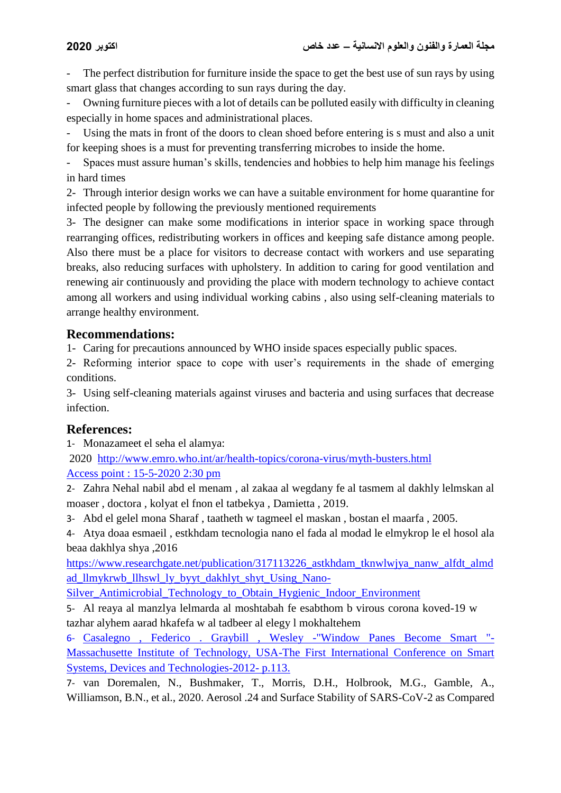The perfect distribution for furniture inside the space to get the best use of sun rays by using smart glass that changes according to sun rays during the day.

- Owning furniture pieces with a lot of details can be polluted easily with difficulty in cleaning especially in home spaces and administrational places.

Using the mats in front of the doors to clean shoed before entering is s must and also a unit for keeping shoes is a must for preventing transferring microbes to inside the home.

- Spaces must assure human's skills, tendencies and hobbies to help him manage his feelings in hard times

2- Through interior design works we can have a suitable environment for home quarantine for infected people by following the previously mentioned requirements

3- The designer can make some modifications in interior space in working space through rearranging offices, redistributing workers in offices and keeping safe distance among people. Also there must be a place for visitors to decrease contact with workers and use separating breaks, also reducing surfaces with upholstery. In addition to caring for good ventilation and renewing air continuously and providing the place with modern technology to achieve contact among all workers and using individual working cabins , also using self-cleaning materials to arrange healthy environment.

## **Recommendations:**

1- Caring for precautions announced by WHO inside spaces especially public spaces.

2- Reforming interior space to cope with user's requirements in the shade of emerging conditions.

3- Using self-cleaning materials against viruses and bacteria and using surfaces that decrease infection.

## **References:**

1- Monazameet el seha el alamya:

2020 <http://www.emro.who.int/ar/health-topics/corona-virus/myth-busters.html> Access point : 15-5-2020 2:30 pm

2- Zahra Nehal nabil abd el menam , al zakaa al wegdany fe al tasmem al dakhly lelmskan al moaser , doctora , kolyat el fnon el tatbekya , Damietta , 2019.

3- Abd el gelel mona Sharaf , taatheth w tagmeel el maskan , bostan el maarfa , 2005.

4- Atya doaa esmaeil , estkhdam tecnologia nano el fada al modad le elmykrop le el hosol ala beaa dakhlya shya ,2016

[https://www.researchgate.net/publication/317113226\\_astkhdam\\_tknwlwjya\\_nanw\\_alfdt\\_almd](https://www.researchgate.net/publication/317113226_astkhdam_tknwlwjya_nanw_alfdt_almdad_llmykrwb_llhswl_ly_byyt_dakhlyt_shyt_Using_Nano-Silver_Antimicrobial_Technology_to_Obtain_Hygienic_Indoor_Environment) [ad\\_llmykrwb\\_llhswl\\_ly\\_byyt\\_dakhlyt\\_shyt\\_Using\\_Nano-](https://www.researchgate.net/publication/317113226_astkhdam_tknwlwjya_nanw_alfdt_almdad_llmykrwb_llhswl_ly_byyt_dakhlyt_shyt_Using_Nano-Silver_Antimicrobial_Technology_to_Obtain_Hygienic_Indoor_Environment)

Silver Antimicrobial Technology to Obtain Hygienic Indoor Environment

5- Al reaya al manzlya lelmarda al moshtabah fe esabthom b virous corona koved-19 w tazhar alyhem aarad hkafefa w al tadbeer al elegy l mokhaltehem

6- Casalegno , Federico . Graybill , Wesley -"Window Panes Become Smart "- Massachusette Institute of Technology, USA-The First International Conference on Smart Systems, Devices and Technologies-2012- p.113.

7- van Doremalen, N., Bushmaker, T., Morris, D.H., Holbrook, M.G., Gamble, A., Williamson, B.N., et al., 2020. Aerosol .24 and Surface Stability of SARS-CoV-2 as Compared